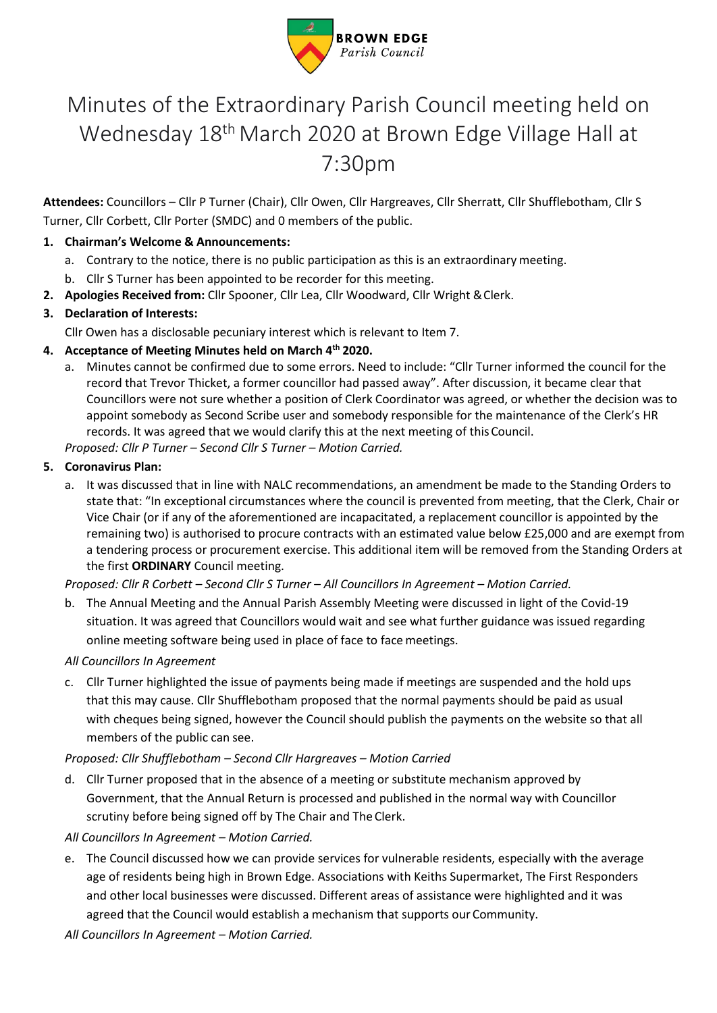

# Minutes of the Extraordinary Parish Council meeting held on Wednesday 18<sup>th</sup> March 2020 at Brown Edge Village Hall at 7:30pm

**Attendees:** Councillors – Cllr P Turner (Chair), Cllr Owen, Cllr Hargreaves, Cllr Sherratt, Cllr Shufflebotham, Cllr S Turner, Cllr Corbett, Cllr Porter (SMDC) and 0 members of the public.

# **1. Chairman's Welcome & Announcements:**

- a. Contrary to the notice, there is no public participation as this is an extraordinary meeting.
- b. Cllr S Turner has been appointed to be recorder for this meeting.
- **2. Apologies Received from:** Cllr Spooner, Cllr Lea, Cllr Woodward, Cllr Wright &Clerk.

# **3. Declaration of Interests:**

Cllr Owen has a disclosable pecuniary interest which is relevant to Item 7.

# **4. Acceptance of Meeting Minutes held on March 4th 2020.**

a. Minutes cannot be confirmed due to some errors. Need to include: "Cllr Turner informed the council for the record that Trevor Thicket, a former councillor had passed away". After discussion, it became clear that Councillors were not sure whether a position of Clerk Coordinator was agreed, or whether the decision was to appoint somebody as Second Scribe user and somebody responsible for the maintenance of the Clerk's HR records. It was agreed that we would clarify this at the next meeting of this Council. *Proposed: Cllr P Turner – Second Cllr S Turner – Motion Carried.*

### **5. Coronavirus Plan:**

a. It was discussed that in line with NALC recommendations, an amendment be made to the Standing Orders to state that: "In exceptional circumstances where the council is prevented from meeting, that the Clerk, Chair or Vice Chair (or if any of the aforementioned are incapacitated, a replacement councillor is appointed by the remaining two) is authorised to procure contracts with an estimated value below £25,000 and are exempt from a tendering process or procurement exercise. This additional item will be removed from the Standing Orders at the first **ORDINARY** Council meeting.

### *Proposed: Cllr R Corbett – Second Cllr S Turner – All Councillors In Agreement – Motion Carried.*

b. The Annual Meeting and the Annual Parish Assembly Meeting were discussed in light of the Covid-19 situation. It was agreed that Councillors would wait and see what further guidance was issued regarding online meeting software being used in place of face to face meetings.

### *All Councillors In Agreement*

c. Cllr Turner highlighted the issue of payments being made if meetings are suspended and the hold ups that this may cause. Cllr Shufflebotham proposed that the normal payments should be paid as usual with cheques being signed, however the Council should publish the payments on the website so that all members of the public can see.

### *Proposed: Cllr Shufflebotham – Second Cllr Hargreaves – Motion Carried*

d. Cllr Turner proposed that in the absence of a meeting or substitute mechanism approved by Government, that the Annual Return is processed and published in the normal way with Councillor scrutiny before being signed off by The Chair and The Clerk.

### *All Councillors In Agreement – Motion Carried.*

e. The Council discussed how we can provide services for vulnerable residents, especially with the average age of residents being high in Brown Edge. Associations with Keiths Supermarket, The First Responders and other local businesses were discussed. Different areas of assistance were highlighted and it was agreed that the Council would establish a mechanism that supports our Community.

*All Councillors In Agreement – Motion Carried.*